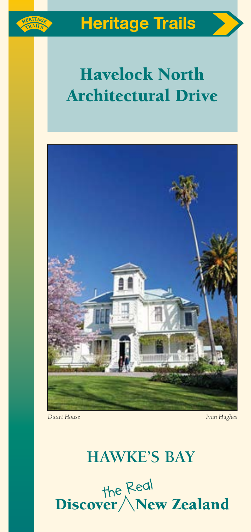

# Havelock North Architectural Drive



# **HAWKE'S BAY**

the Redl<br>Discover / New Zealand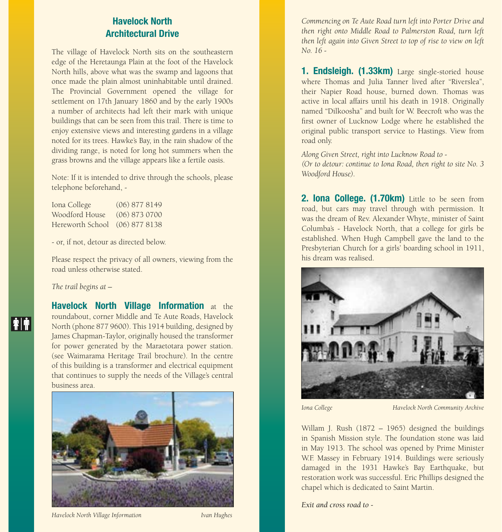# Havelock North Architectural Drive

The village of Havelock North sits on the southeastern edge of the Heretaunga Plain at the foot of the Havelock North hills, above what was the swamp and lagoons that once made the plain almost uninhabitable until drained. The Provincial Government opened the village for settlement on 17th January 1860 and by the early 1900s a number of architects had left their mark with unique buildings that can be seen from this trail. There is time to enjoy extensive views and interesting gardens in a village noted for its trees. Hawke's Bay, in the rain shadow of the dividing range, is noted for long hot summers when the grass browns and the village appears like a fertile oasis.

Note: If it is intended to drive through the schools, please telephone beforehand, -

| Iona College                   | $(06)$ 877 8149 |
|--------------------------------|-----------------|
| Woodford House                 | $(06)$ 873 0700 |
| Hereworth School (06) 877 8138 |                 |

- or, if not, detour as directed below.

Please respect the privacy of all owners, viewing from the road unless otherwise stated.

#### *The trail begins at –*

**TE** 

Havelock North Village Information at the roundabout, corner Middle and Te Aute Roads, Havelock North (phone 877 9600). This 1914 building, designed by James Chapman-Taylor, originally housed the transformer for power generated by the Maraetotara power station. (see Waimarama Heritage Trail brochure). In the centre of this building is a transformer and electrical equipment that continues to supply the needs of the Village's central business area.



*Havelock North Village Information Ivan Hughes*

*Commencing on Te Aute Road turn left into Porter Drive and then right onto Middle Road to Palmerston Road, turn left then left again into Given Street to top of rise to view on left No. 16 -* 

1. **Endsleigh. (1.33km)** Large single-storied house where Thomas and Julia Tanner lived after "Riverslea", their Napier Road house, burned down. Thomas was active in local affairs until his death in 1918. Originally named "Dilkoosha" and built for W. Beecroft who was the first owner of Lucknow Lodge where he established the original public transport service to Hastings. View from road only.

*Along Given Street, right into Lucknow Road to - (Or to detour: continue to Iona Road, then right to site No. 3 Woodford House).*

2. Iona College. (1.70km) Little to be seen from road, but cars may travel through with permission. It was the dream of Rev. Alexander Whyte, minister of Saint Columba's - Havelock North, that a college for girls be established. When Hugh Campbell gave the land to the Presbyterian Church for a girls' boarding school in 1911, his dream was realised.



*Iona College Havelock North Community Archive*

Willam J. Rush (1872 – 1965) designed the buildings in Spanish Mission style. The foundation stone was laid in May 1913. The school was opened by Prime Minister W.F. Massey in February 1914. Buildings were seriously damaged in the 1931 Hawke's Bay Earthquake, but restoration work was successful. Eric Phillips designed the chapel which is dedicated to Saint Martin.

*Exit and cross road to -*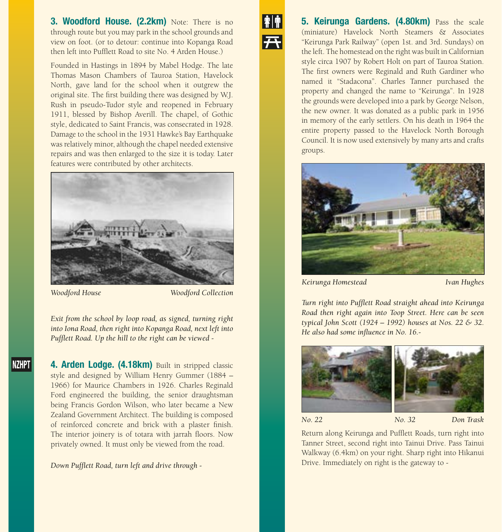**3. Woodford House. (2.2km)** Note: There is no through route but you may park in the school grounds and view on foot. (or to detour: continue into Kopanga Road then left into Pufflett Road to site No. 4 Arden House.)

Founded in Hastings in 1894 by Mabel Hodge. The late Thomas Mason Chambers of Tauroa Station, Havelock North, gave land for the school when it outgrew the original site. The first building there was designed by W.J. Rush in pseudo-Tudor style and reopened in February 1911, blessed by Bishop Averill. The chapel, of Gothic style, dedicated to Saint Francis, was consecrated in 1928. Damage to the school in the 1931 Hawke's Bay Earthquake was relatively minor, although the chapel needed extensive repairs and was then enlarged to the size it is today. Later features were contributed by other architects.



**NZHPT** 

*Woodford House Woodford Collection*

*Exit from the school by loop road, as signed, turning right into Iona Road, then right into Kopanga Road, next left into Pufflett Road. Up the hill to the right can be viewed -*

4. Arden Lodge. (4.18km) Built in stripped classic style and designed by William Henry Gummer (1884 – 1966) for Maurice Chambers in 1926. Charles Reginald Ford engineered the building, the senior draughtsman being Francis Gordon Wilson, who later became a New Zealand Government Architect. The building is composed of reinforced concrete and brick with a plaster finish. The interior joinery is of totara with jarrah floors. Now privately owned. It must only be viewed from the road.

*Down Pufflett Road, turn left and drive through -*



**5. Keirunga Gardens. (4.80km)** Pass the scale (miniature) Havelock North Steamers & Associates "Keirunga Park Railway" (open 1st. and 3rd. Sundays) on the left. The homestead on the right was built in Californian style circa 1907 by Robert Holt on part of Tauroa Station. The first owners were Reginald and Ruth Gardiner who named it "Stadacona". Charles Tanner purchased the property and changed the name to "Keirunga". In 1928 the grounds were developed into a park by George Nelson, the new owner. It was donated as a public park in 1956 in memory of the early settlers. On his death in 1964 the entire property passed to the Havelock North Borough Council. It is now used extensively by many arts and crafts groups.



*Keirunga Homestead Ivan Hughes*

*Turn right into Pufflett Road straight ahead into Keirunga Road then right again into Toop Street. Here can be seen typical John Scott (1924 – 1992) houses at Nos. 22 & 32. He also had some influence in No. 16.-*



*No. 22 No. 32 Don Trask*

Return along Keirunga and Pufflett Roads, turn right into Tanner Street, second right into Tainui Drive. Pass Tainui Walkway (6.4km) on your right. Sharp right into Hikanui Drive. Immediately on right is the gateway to -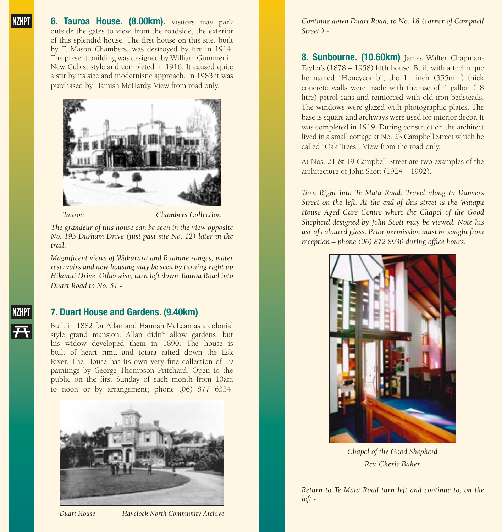**NZHP** 

**6. Tauroa House. (8.00km).** Visitors may park outside the gates to view, from the roadside, the exterior of this splendid house. The first house on this site, built by T. Mason Chambers, was destroyed by fire in 1914. The present building was designed by William Gummer in New Cubist style and completed in 1916. It caused quite a stir by its size and modernistic approach. In 1983 it was purchased by Hamish McHardy. View from road only.



*Tauroa Chambers Collection*

*The grandeur of this house can be seen in the view opposite No. 195 Durham Drive (just past site No. 12) later in the trail.*

*Magnificent views of Wakarara and Ruahine ranges, water reservoirs and new housing may be seen by turning right up Hikanui Drive. Otherwise, turn left down Tauroa Road into Duart Road to No. 51 -*

# 7. Duart House and Gardens. (9.40km)

Built in 1882 for Allan and Hannah McLean as a colonial style grand mansion. Allan didn't allow gardens, but his widow developed them in 1890. The house is built of heart rimu and totara rafted down the Esk River. The House has its own very fine collection of 19 paintings by George Thompson Pritchard. Open to the public on the first Sunday of each month from 10am to noon or by arrangement; phone (06) 877 6334.



*Duart House Havelock North Community Archive*

*Continue down Duart Road, to No. 18 (corner of Campbell Street.) -*

8. Sunbourne. (10.60km) James Walter Chapman-Taylor's (1878 – 1958) fifth house. Built with a technique he named "Honeycomb", the 14 inch (355mm) thick concrete walls were made with the use of 4 gallon (18 litre) petrol cans and reinforced with old iron bedsteads. The windows were glazed with photographic plates. The base is square and archways were used for interior decor. It was completed in 1919. During construction the architect lived in a small cottage at No. 23 Campbell Street which he called "Oak Trees". View from the road only.

At Nos. 21 & 19 Campbell Street are two examples of the architecture of John Scott (1924 – 1992).

*Turn Right into Te Mata Road. Travel along to Danvers Street on the left. At the end of this street is the Waiapu House Aged Care Centre where the Chapel of the Good Shepherd designed by John Scott may be viewed. Note his use of coloured glass. Prior permission must be sought from reception – phone (06) 872 8930 during office hours.*



*Chapel of the Good Shepherd Rev. Cherie Baker*

*Return to Te Mata Road turn left and continue to, on the left -*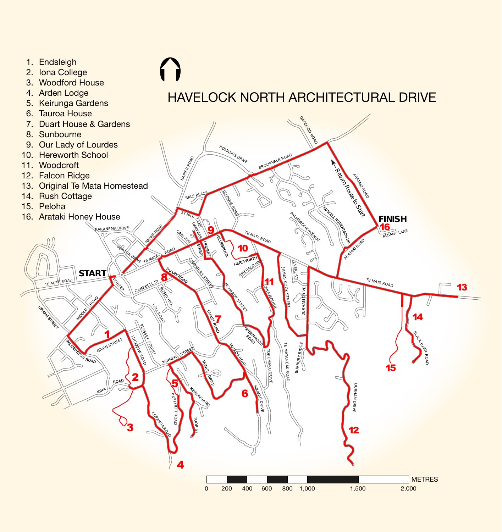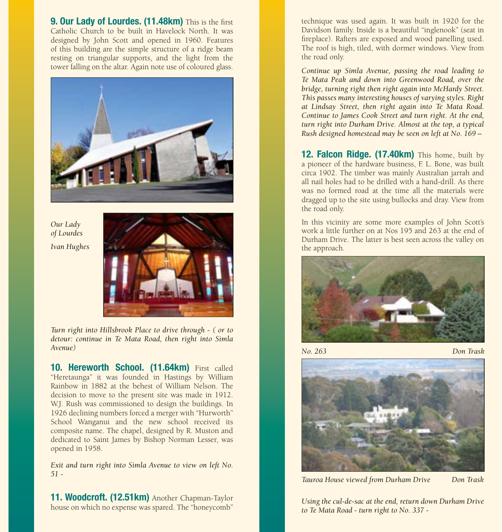**9. Our Lady of Lourdes. (11.48km)** This is the first Catholic Church to be built in Havelock North. It was designed by John Scott and opened in 1960. Features of this building are the simple structure of a ridge beam resting on triangular supports, and the light from the tower falling on the altar. Again note use of coloured glass.



*Our Lady of Lourdes Ivan Hughes*



*Turn right into Hillsbrook Place to drive through - ( or to detour: continue in Te Mata Road, then right into Simla Avenue)*

10. Hereworth School. (11.64km) First called "Heretaunga" it was founded in Hastings by William Rainbow in 1882 at the behest of William Nelson. The decision to move to the present site was made in 1912. W.J. Rush was commissioned to design the buildings. In 1926 declining numbers forced a merger with "Hurworth" School Wanganui and the new school received its composite name. The chapel, designed by R. Muston and dedicated to Saint James by Bishop Norman Lesser, was opened in 1958.

*Exit and turn right into Simla Avenue to view on left No. 51 -*

11. Woodcroft. (12.51km) Another Chapman-Taylor house on which no expense was spared. The "honeycomb"

technique was used again. It was built in 1920 for the Davidson family. Inside is a beautiful "inglenook" (seat in fireplace). Rafters are exposed and wood panelling used. The roof is high, tiled, with dormer windows. View from the road only.

*Continue up Simla Avenue, passing the road leading to Te Mata Peak and down into Greenwood Road, over the bridge, turning right then right again into McHardy Street. This passes many interesting houses of varying styles. Right at Lindsay Street, then right again into Te Mata Road. Continue to James Cook Street and turn right. At the end, turn right into Durham Drive. Almost at the top, a typical Rush designed homestead may be seen on left at No. 169 –*

12. Falcon Ridge. (17.40km) This home, built by a pioneer of the hardware business, F. L. Bone, was built circa 1902. The timber was mainly Australian jarrah and all nail holes had to be drilled with a hand-drill. As there was no formed road at the time all the materials were dragged up to the site using bullocks and dray. View from the road only.

In this vicinity are some more examples of John Scott's work a little further on at Nos 195 and 263 at the end of Durham Drive. The latter is best seen across the valley on the approach.



*No. 263 Don Trask*



*Tauroa House viewed from Durham Drive Don Trask*

*Using the cul-de-sac at the end, return down Durham Drive to Te Mata Road - turn right to No. 337 -*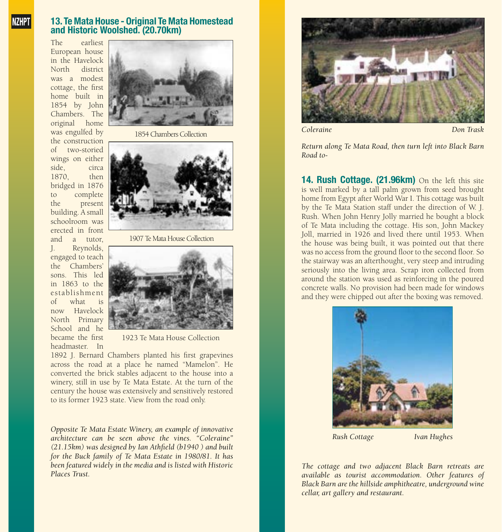#### 13. Te Mata House - Original Te Mata Homestead and Historic Woolshed. (20.70km)

The earliest European house in the Havelock<br>North district district was a modest cottage, the first home built in 1854 by John Chambers. The original home was engulfed by the construction<br>of two-storied two-storied wings on either side, circa<br>1870 then 1870 bridged in 1876 to complete the present building. A small schoolroom was erected in front and a tutor, J. Reynolds, engaged to teach the Chambers' sons. This led in 1863 to the establishment of what is now Havelock North Primary School and he became the first headmaster. In



1854 Chambers Collection



1907 Te Mata House Collection



1923 Te Mata House Collection

1892 J. Bernard Chambers planted his first grapevines across the road at a place he named "Mamelon". He converted the brick stables adjacent to the house into a winery, still in use by Te Mata Estate. At the turn of the century the house was extensively and sensitively restored to its former 1923 state. View from the road only.

*Opposite Te Mata Estate Winery, an example of innovative architecture can be seen above the vines. "Coleraine" (21.15km) was designed by Ian Athfield (b1940 ) and built for the Buck family of Te Mata Estate in 1980/81. It has been featured widely in the media and is listed with Historic Places Trust.*



*Coleraine Don Trask*

*Return along Te Mata Road, then turn left into Black Barn Road to-*

14. Rush Cottage. (21.96km) On the left this site is well marked by a tall palm grown from seed brought home from Egypt after World War I. This cottage was built by the Te Mata Station staff under the direction of W. J. Rush. When John Henry Jolly married he bought a block of Te Mata including the cottage. His son, John Mackey Joll, married in 1926 and lived there until 1953. When the house was being built, it was pointed out that there was no access from the ground floor to the second floor. So the stairway was an afterthought, very steep and intruding seriously into the living area. Scrap iron collected from around the station was used as reinforcing in the poured concrete walls. No provision had been made for windows and they were chipped out after the boxing was removed.



*Rush Cottage Ivan Hughes*

*The cottage and two adjacent Black Barn retreats are available as tourist accommodation. Other features of Black Barn are the hillside amphitheatre, underground wine cellar, art gallery and restaurant.*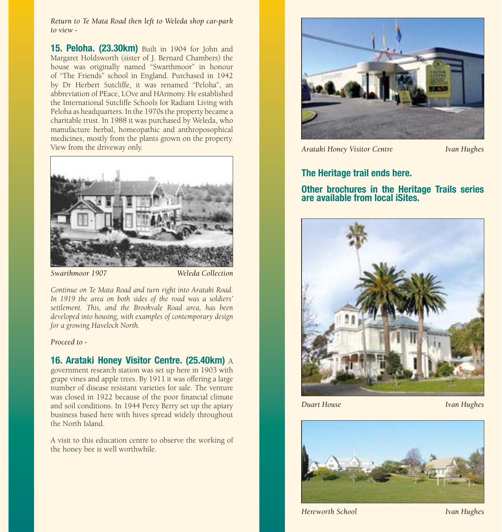*Return to Te Mata Road then left to Weleda shop car-park to view -*

**15. Peloha. (23.30km)** Built in 1904 for John and Margaret Holdsworth (sister of J. Bernard Chambers) the house was originally named "Swarthmoor" in honour of "The Friends" school in England. Purchased in 1942 by Dr Herbert Sutcliffe, it was renamed "Peloha", an abbreviation of PEace, LOve and HArmony. He established the International Sutcliffe Schools for Radiant Living with Peloha as headquarters. In the 1970s the property became a charitable trust. In 1988 it was purchased by Weleda, who manufacture herbal, homeopathic and anthroposophical medicines, mostly from the plants grown on the property. View from the driveway only.



*Swarthmoor 1907 Weleda Collection*

*Continue on Te Mata Road and turn right into Arataki Road. In 1919 the area on both sides of the road was a soldiers' settlement. This, and the Brookvale Road area, has been developed into housing, with examples of contemporary design for a growing Havelock North.* 

#### *Proceed to -*

#### 16. Arataki Honey Visitor Centre. (25.40km) A

government research station was set up here in 1903 with grape vines and apple trees. By 1911 it was offering a large number of disease resistant varieties for sale. The venture was closed in 1922 because of the poor financial climate and soil conditions. In 1944 Percy Berry set up the apiary business based here with hives spread widely throughout the North Island.

A visit to this education centre to observe the working of the honey bee is well worthwhile.



*Arataki Honey Visitor Centre Ivan Hughes*

#### The Heritage trail ends here.

#### Other brochures in the Heritage Trails series are available from local iSites.



*Duart House Ivan Hughes*



*Hereworth School Ivan Hughes*